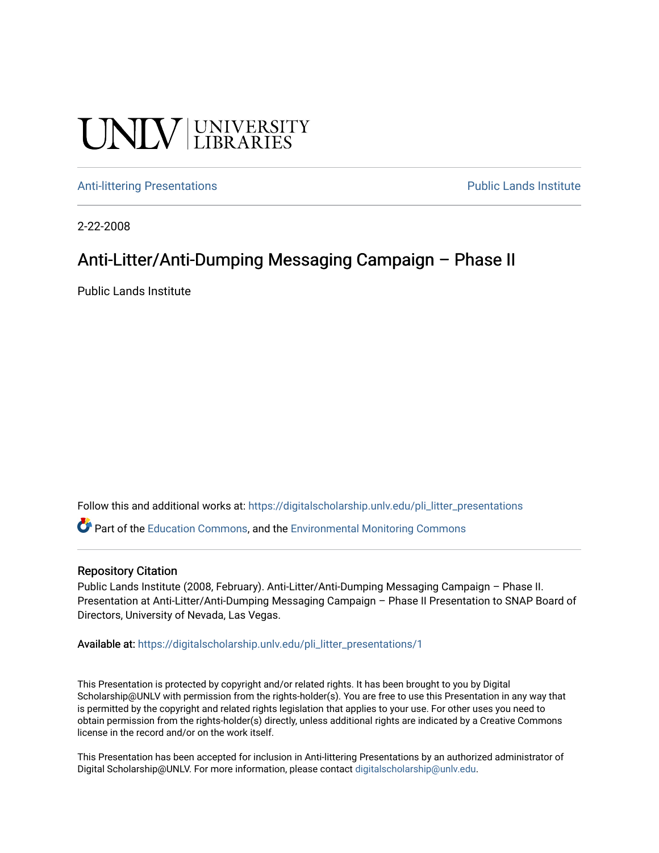#### **UNIVERSITY**

#### [Anti-littering Presentations](https://digitalscholarship.unlv.edu/pli_litter_presentations) **Public Lands Institute** Public Lands Institute

2-22-2008

#### Anti-Litter/Anti-Dumping Messaging Campaign – Phase II

Public Lands Institute

Follow this and additional works at: [https://digitalscholarship.unlv.edu/pli\\_litter\\_presentations](https://digitalscholarship.unlv.edu/pli_litter_presentations?utm_source=digitalscholarship.unlv.edu%2Fpli_litter_presentations%2F1&utm_medium=PDF&utm_campaign=PDFCoverPages)

Part of the [Education Commons](http://network.bepress.com/hgg/discipline/784?utm_source=digitalscholarship.unlv.edu%2Fpli_litter_presentations%2F1&utm_medium=PDF&utm_campaign=PDFCoverPages), and the [Environmental Monitoring Commons](http://network.bepress.com/hgg/discipline/931?utm_source=digitalscholarship.unlv.edu%2Fpli_litter_presentations%2F1&utm_medium=PDF&utm_campaign=PDFCoverPages)

#### Repository Citation

Public Lands Institute (2008, February). Anti-Litter/Anti-Dumping Messaging Campaign – Phase II. Presentation at Anti-Litter/Anti-Dumping Messaging Campaign – Phase II Presentation to SNAP Board of Directors, University of Nevada, Las Vegas.

Available at: [https://digitalscholarship.unlv.edu/pli\\_litter\\_presentations/1](https://digitalscholarship.unlv.edu/pli_litter_presentations/1)

This Presentation is protected by copyright and/or related rights. It has been brought to you by Digital Scholarship@UNLV with permission from the rights-holder(s). You are free to use this Presentation in any way that is permitted by the copyright and related rights legislation that applies to your use. For other uses you need to obtain permission from the rights-holder(s) directly, unless additional rights are indicated by a Creative Commons license in the record and/or on the work itself.

This Presentation has been accepted for inclusion in Anti-littering Presentations by an authorized administrator of Digital Scholarship@UNLV. For more information, please contact [digitalscholarship@unlv.edu](mailto:digitalscholarship@unlv.edu).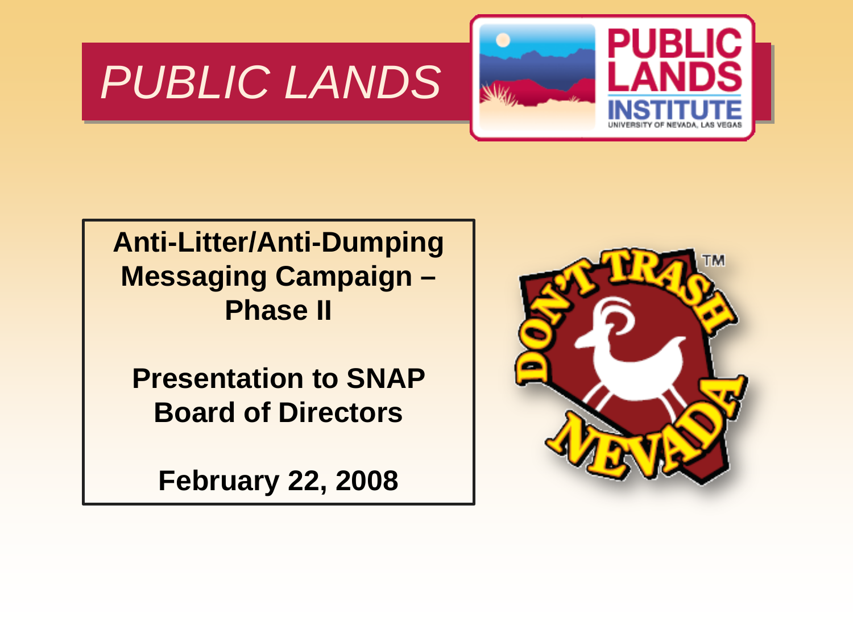#### *PUBLIC LANDS*



**Anti-Litter/Anti-Dumping Messaging Campaign – Phase II**

**Presentation to SNAP Board of Directors**

**February 22, 2008**

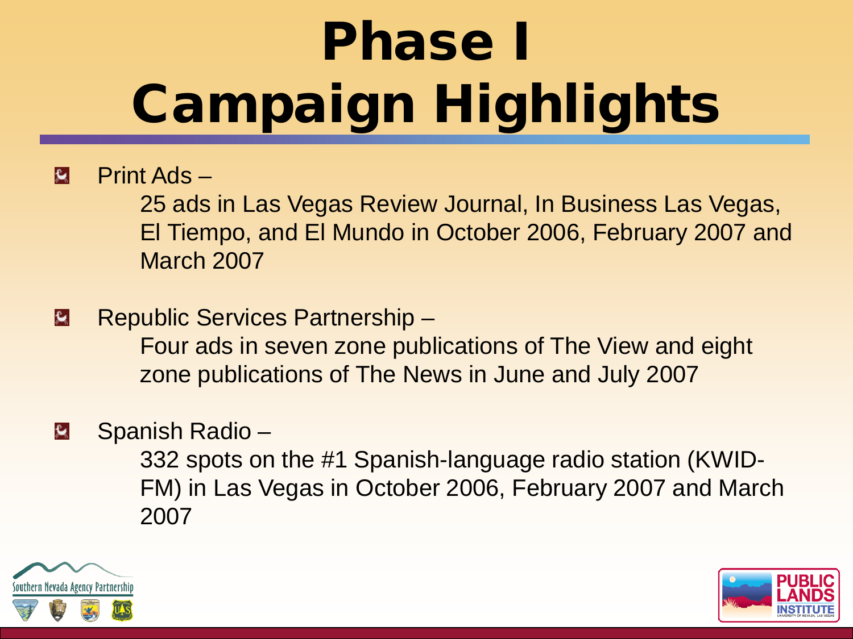# Phase I Campaign Highlights

#### $\mathbf{R}$ Print Ads –

25 ads in Las Vegas Review Journal, In Business Las Vegas, El Tiempo, and El Mundo in October 2006, February 2007 and March 2007

 $|\mathbf{R}|$ Republic Services Partnership – Four ads in seven zone publications of The View and eight zone publications of The News in June and July 2007

#### Spanish Radio – 臭

332 spots on the #1 Spanish-language radio station (KWID-FM) in Las Vegas in October 2006, February 2007 and March 2007



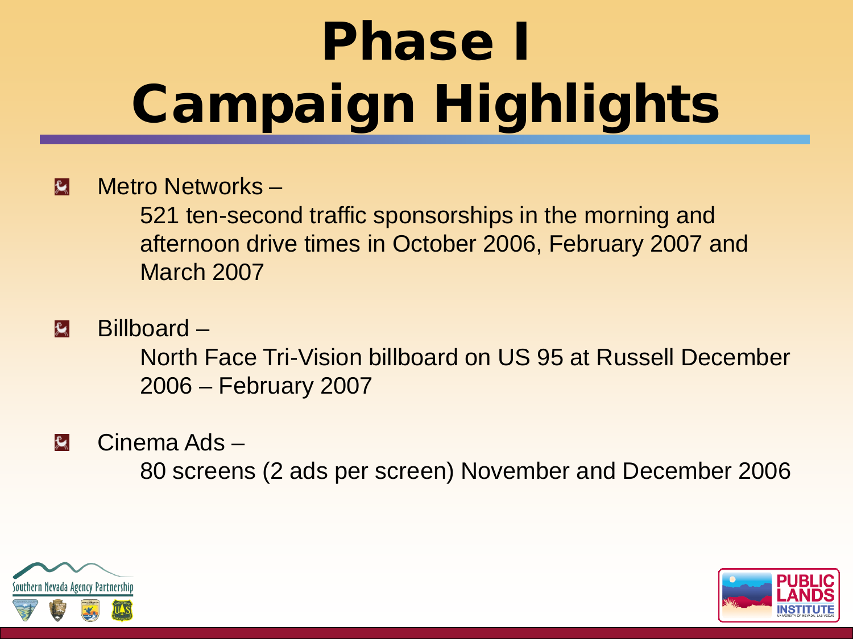# Phase I Campaign Highlights

#### Metro Networks –  $|\mathbf{y}|$

521 ten-second traffic sponsorships in the morning and afternoon drive times in October 2006, February 2007 and March 2007

 $\mathbf{R}$ Billboard –

> North Face Tri-Vision billboard on US 95 at Russell December 2006 – February 2007

臭 Cinema Ads –

80 screens (2 ads per screen) November and December 2006



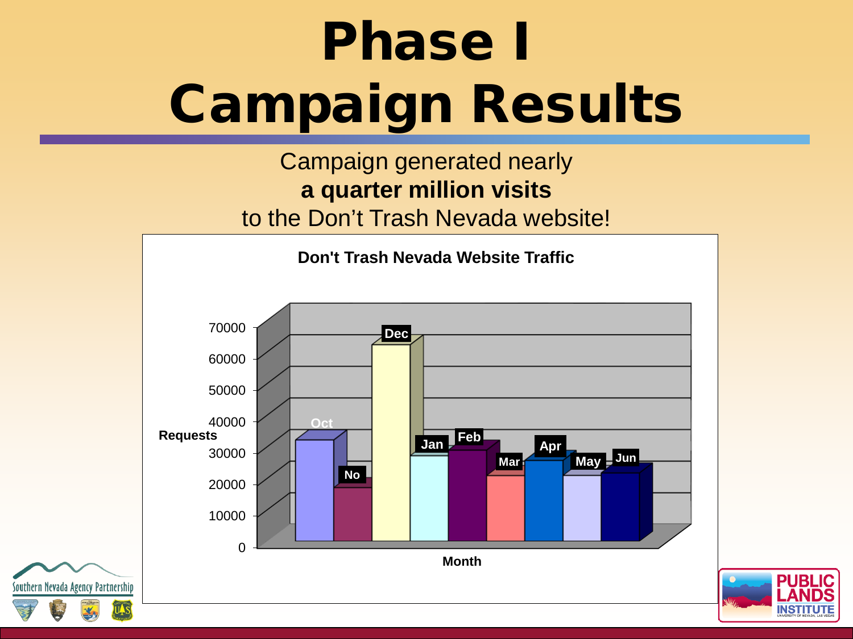## Phase I Campaign Results

#### Campaign generated nearly **a quarter million visits**  to the Don't Trash Nevada website!



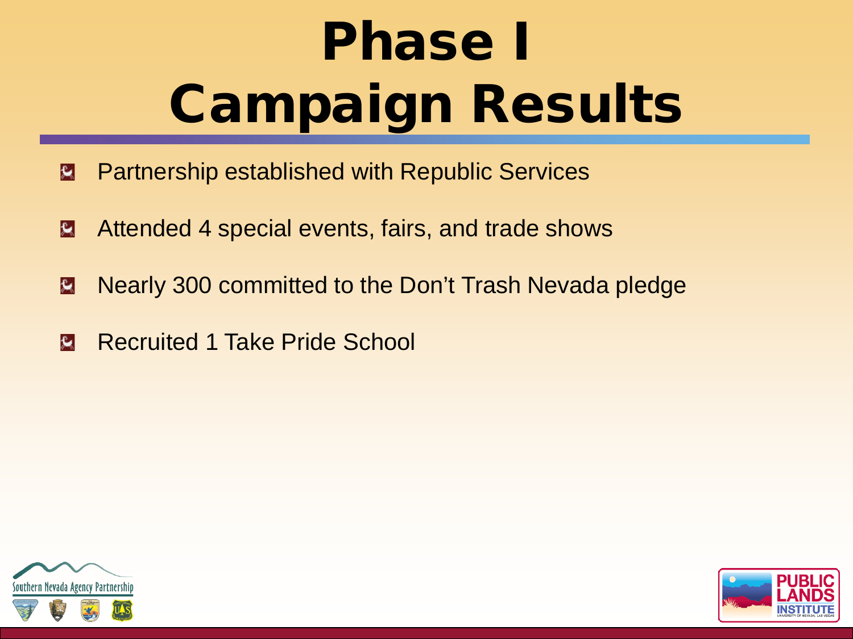# Phase I Campaign Results

- Partnership established with Republic Services  $|\mathbf{R}|$
- Attended 4 special events, fairs, and trade shows  $|\mathbf{r}|$
- Nearly 300 committed to the Don't Trash Nevada pledge  $|\mathbf{R}|$
- $\mathbf{R}$ Recruited 1 Take Pride School



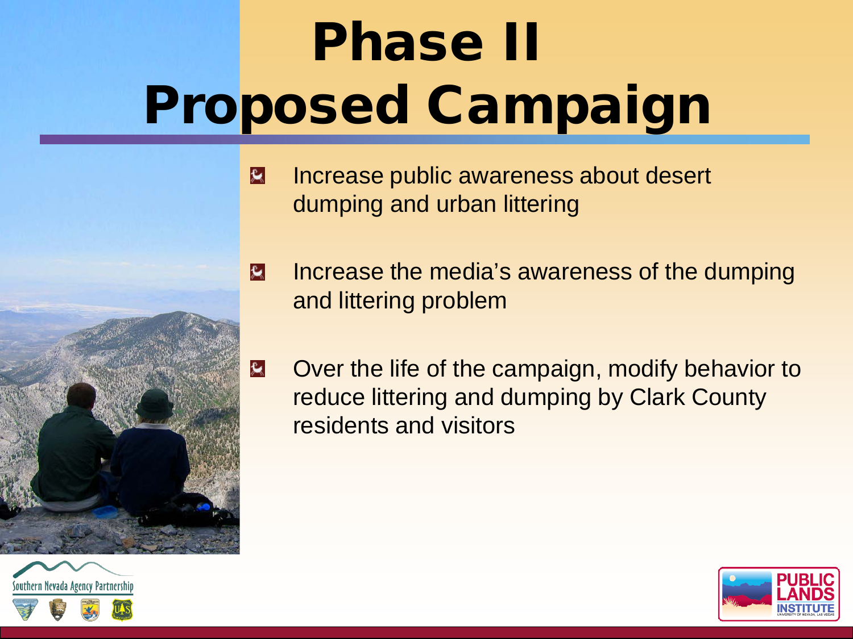# Phase II Proposed Campaign



- $|\mathbf{\hat{x}}|$ Increase public awareness about desert dumping and urban littering
- Increase the media's awareness of the dumping  $|\mathbf{x}|$ and littering problem
- Over the life of the campaign, modify behavior to 臭 reduce littering and dumping by Clark County residents and visitors



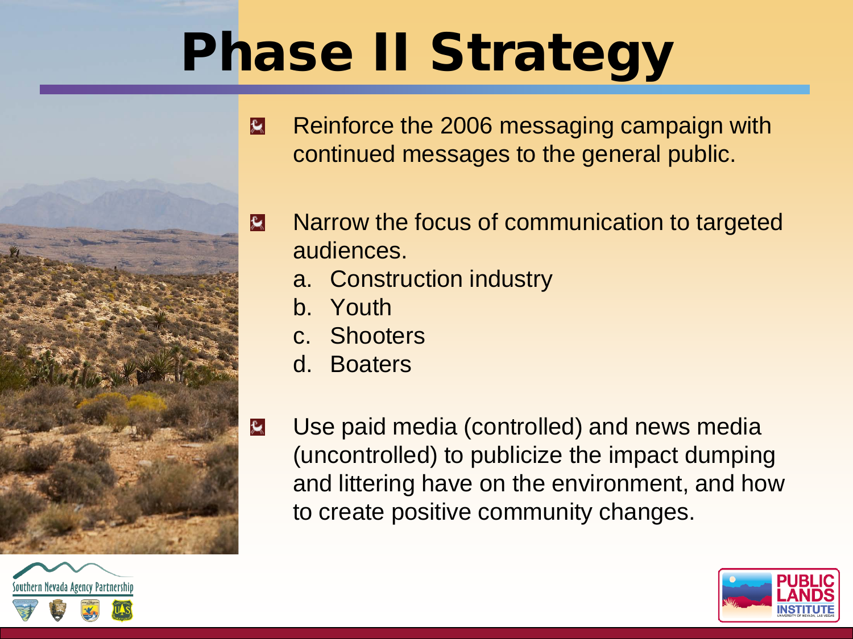### Phase II Strategy





Reinforce the 2006 messaging campaign with  $\mathbf{R}$ continued messages to the general public.

- Narrow the focus of communication to targeted 臭 audiences.
	- a. Construction industry
	- b. Youth
	- c. Shooters
	- d. Boaters
	- Use paid media (controlled) and news media (uncontrolled) to publicize the impact dumping and littering have on the environment, and how to create positive community changes.

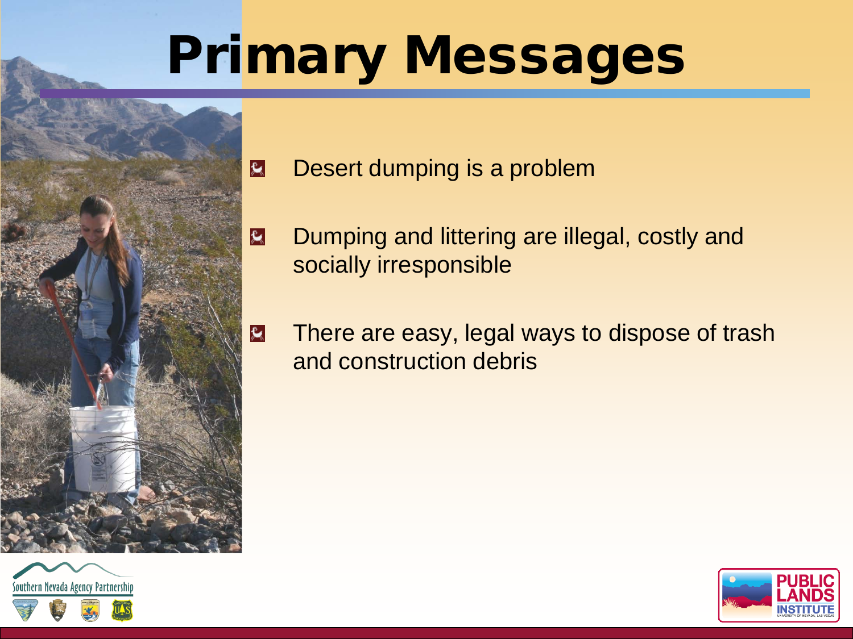### Primary Messages



- Desert dumping is a problem
- Dumping and littering are illegal, costly and  $\mathbf{\mathcal{R}}$ socially irresponsible
	- There are easy, legal ways to dispose of trash and construction debris



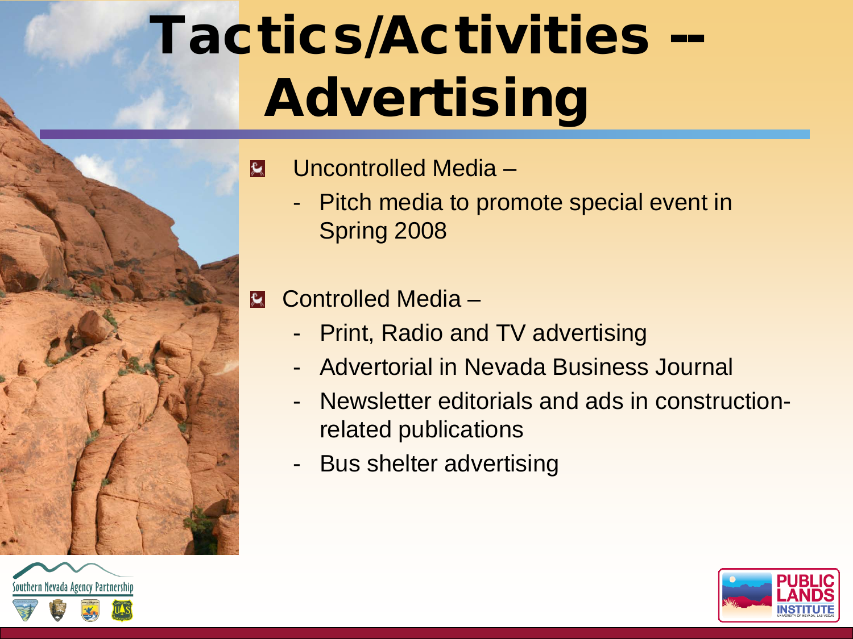## Tactics/Activities -- Advertising



 $|\mathbf{R}|$ Uncontrolled Media –

> - Pitch media to promote special event in Spring 2008

Controlled Media –

- **Print, Radio and TV advertising**
- Advertorial in Nevada Business Journal
- Newsletter editorials and ads in constructionrelated publications
- Bus shelter advertising



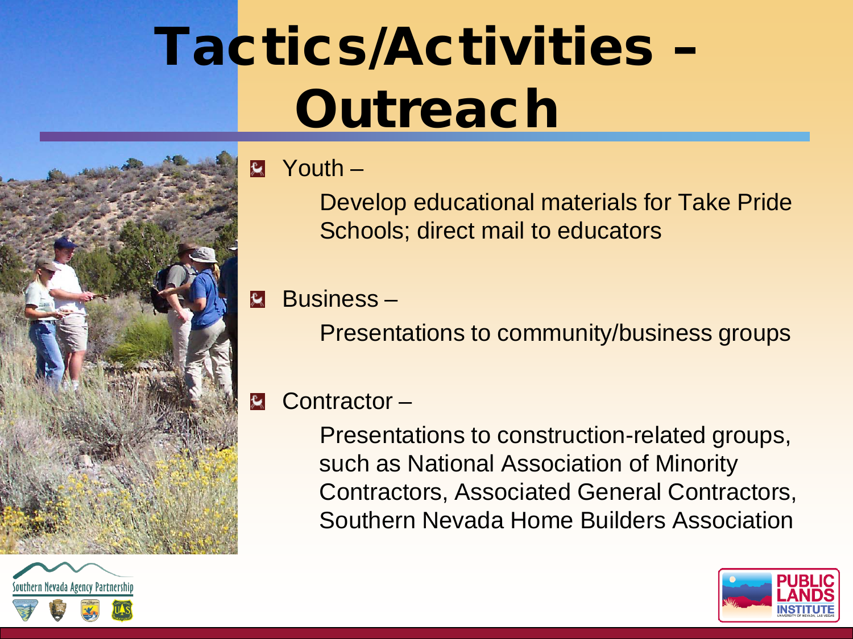### Tactics/Activities – **Outreach**



 $\mathbf{E}$ Youth –

> Develop educational materials for Take Pride Schools; direct mail to educators

 $\mathbf{R}$ Business –

Presentations to community/business groups

#### Contractor – 臭

Presentations to construction-related groups, such as National Association of Minority Contractors, Associated General Contractors, Southern Nevada Home Builders Association



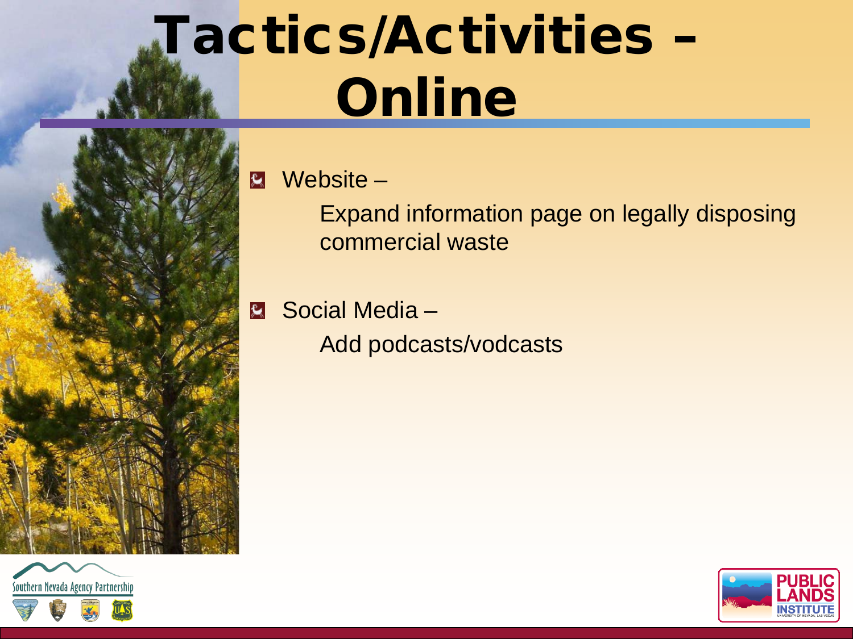### Tactics/Activities – Online



Website –  $|\mathbf{R}|$ 

> Expand information page on legally disposing commercial waste

Social Media – Add podcasts/vodcasts



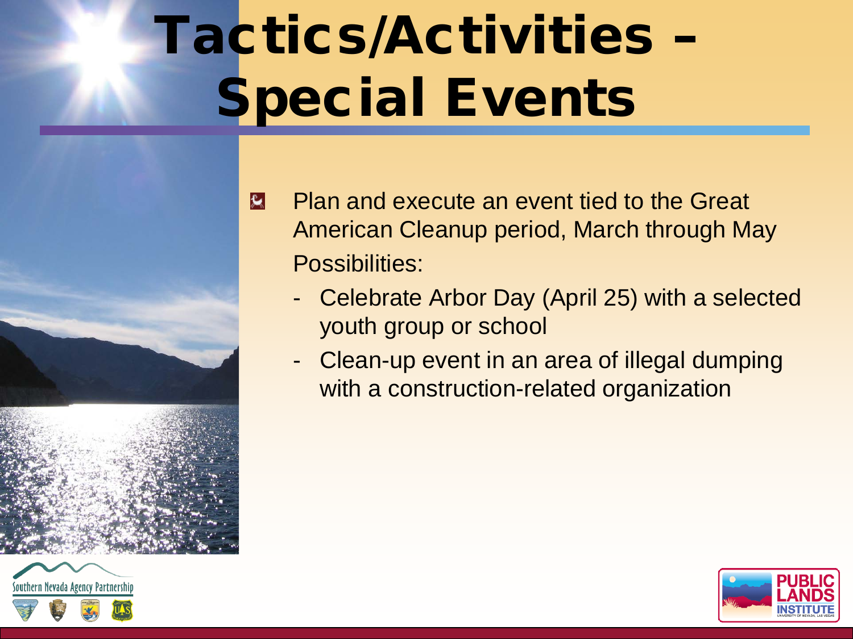## Tactics/Activities – Special Events



- Plan and execute an event tied to the Great  $|\mathbf{R}|$ American Cleanup period, March through May Possibilities:
	- Celebrate Arbor Day (April 25) with a selected youth group or school
	- Clean-up event in an area of illegal dumping with a construction-related organization

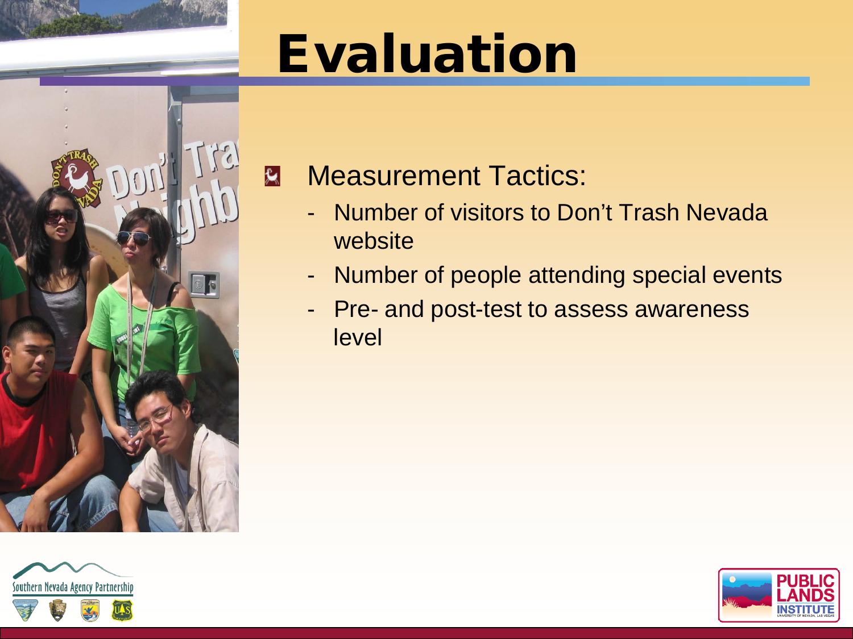### Evaluation



#### $\mathbf{R}$ Measurement Tactics:

- Number of visitors to Don't Trash Nevada website
- Number of people attending special events
- Pre- and post-test to assess awareness level



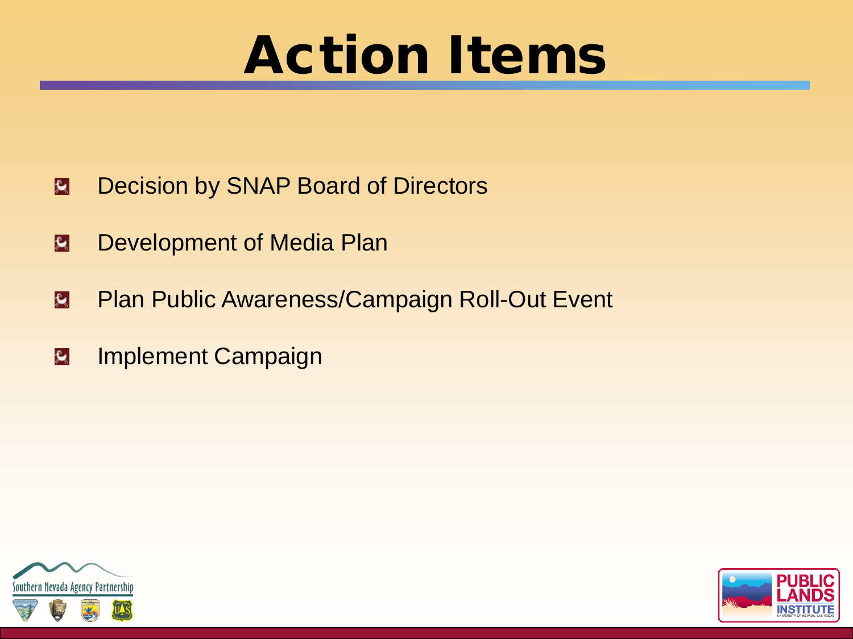### Action Items

- Decision by SNAP Board of Directors  $|\mathbf{\hat{x}}|$
- Development of Media Plan  $|\mathbf{x}|$
- Plan Public Awareness/Campaign Roll-Out Event  $|\mathbf{\hat{x}}|$
- Implement Campaignk.